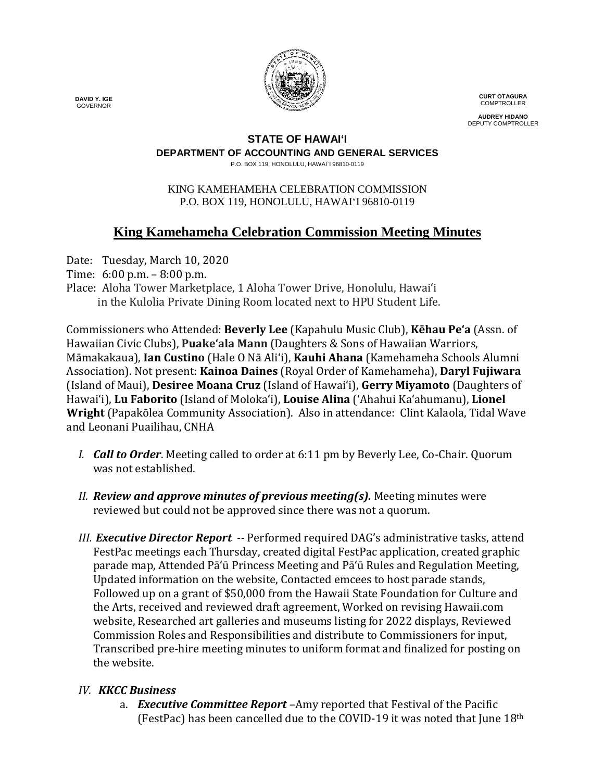

**CURT OTAGURA COMPTROLLER** 

**AUDREY HIDANO** DEPUTY COMPTROLLER

# **STATE OF HAWAI'I**

### **DEPARTMENT OF ACCOUNTING AND GENERAL SERVICES**

P.O. BOX 119, HONOLULU, HAWAI`I 96810-0119

#### KING KAMEHAMEHA CELEBRATION COMMISSION P.O. BOX 119, HONOLULU, HAWAIʻI 96810-0119

# **King Kamehameha Celebration Commission Meeting Minutes**

Date: Tuesday, March 10, 2020

Time: 6:00 p.m. – 8:00 p.m.

Place: Aloha Tower Marketplace, 1 Aloha Tower Drive, Honolulu, Hawai'i in the Kulolia Private Dining Room located next to HPU Student Life.

Commissioners who Attended: **Beverly Lee** (Kapahulu Music Club), **Kēhau Pe'a** (Assn. of Hawaiian Civic Clubs), **Puakeʻala Mann** (Daughters & Sons of Hawaiian Warriors, Māmakakaua), **Ian Custino** (Hale O Nā Ali'i), **Kauhi Ahana** (Kamehameha Schools Alumni Association). Not present: **Kainoa Daines** (Royal Order of Kamehameha), **Daryl Fujiwara** (Island of Maui), **Desiree Moana Cruz** (Island of Hawai'i), **Gerry Miyamoto** (Daughters of Hawai'i), **Lu Faborito** (Island of Moloka'i), **Louise Alina** ('Ahahui Ka'ahumanu), **Lionel Wright** (Papakōlea Community Association). Also in attendance: Clint Kalaola, Tidal Wave and Leonani Puailihau, CNHA

- *I. Call to Order*. Meeting called to order at 6:11 pm by Beverly Lee, Co-Chair. Quorum was not established.
- *II. Review and approve minutes of previous meeting(s).* Meeting minutes were reviewed but could not be approved since there was not a quorum.
- *III. Executive Director Report --* Performed required DAG's administrative tasks, attend FestPac meetings each Thursday, created digital FestPac application, created graphic parade map, Attended Pā'ū Princess Meeting and Pā'ū Rules and Regulation Meeting, Updated information on the website, Contacted emcees to host parade stands, Followed up on a grant of \$50,000 from the Hawaii State Foundation for Culture and the Arts, received and reviewed draft agreement, Worked on revising Hawaii.com website, Researched art galleries and museums listing for 2022 displays, Reviewed Commission Roles and Responsibilities and distribute to Commissioners for input, Transcribed pre-hire meeting minutes to uniform format and finalized for posting on the website.

# *IV. KKCC Business*

a. *Executive Committee Report –*Amy reported that Festival of the Pacific (FestPac) has been cancelled due to the COVID-19 it was noted that June 18th

 **DAVID Y. IGE** GOVERNOR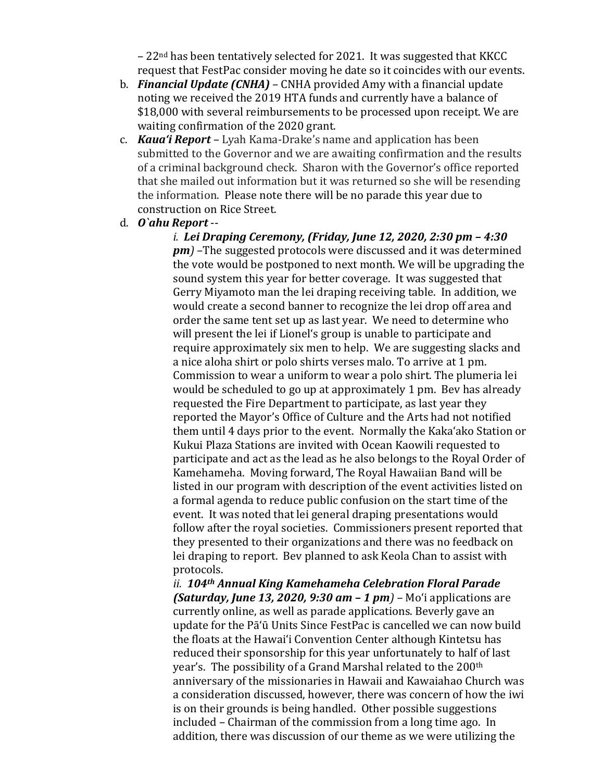$-22<sup>nd</sup>$  has been tentatively selected for 2021. It was suggested that KKCC request that FestPac consider moving he date so it coincides with our events.

- b. *Financial Update (CNHA)* CNHA provided Amy with a financial update noting we received the 2019 HTA funds and currently have a balance of \$18,000 with several reimbursements to be processed upon receipt. We are waiting confirmation of the 2020 grant.
- c. *Kaua'i Report –* Lyah Kama-Drake's name and application has been submitted to the Governor and we are awaiting confirmation and the results of a criminal background check. Sharon with the Governor's office reported that she mailed out information but it was returned so she will be resending the information. Please note there will be no parade this year due to construction on Rice Street.
- d. *O`ahu Report* --

*i. Lei Draping Ceremony, (Friday, June 12, 2020, 2:30 pm – 4:30 pm)* –The suggested protocols were discussed and it was determined the vote would be postponed to next month. We will be upgrading the sound system this year for better coverage. It was suggested that Gerry Miyamoto man the lei draping receiving table. In addition, we would create a second banner to recognize the lei drop off area and order the same tent set up as last year. We need to determine who will present the lei if Lionelʻs group is unable to participate and require approximately six men to help. We are suggesting slacks and a nice aloha shirt or polo shirts verses malo. To arrive at 1 pm. Commission to wear a uniform to wear a polo shirt. The plumeria lei would be scheduled to go up at approximately 1 pm. Bev has already requested the Fire Department to participate, as last year they reported the Mayor's Office of Culture and the Arts had not notified them until 4 days prior to the event. Normally the Kaka'ako Station or Kukui Plaza Stations are invited with Ocean Kaowili requested to participate and act as the lead as he also belongs to the Royal Order of Kamehameha. Moving forward, The Royal Hawaiian Band will be listed in our program with description of the event activities listed on a formal agenda to reduce public confusion on the start time of the event. It was noted that lei general draping presentations would follow after the royal societies. Commissioners present reported that they presented to their organizations and there was no feedback on lei draping to report. Bev planned to ask Keola Chan to assist with protocols.

*ii. 104th Annual King Kamehameha Celebration Floral Parade (Saturday, June 13, 2020, 9:30 am – 1 pm) –* Mo'i applications are currently online, as well as parade applications. Beverly gave an update for the Pā'ū Units Since FestPac is cancelled we can now build the floats at the Hawai'i Convention Center although Kintetsu has reduced their sponsorship for this year unfortunately to half of last year's. The possibility of a Grand Marshal related to the 200<sup>th</sup> anniversary of the missionaries in Hawaii and Kawaiahao Church was a consideration discussed, however, there was concern of how the iwi is on their grounds is being handled. Other possible suggestions included – Chairman of the commission from a long time ago. In addition, there was discussion of our theme as we were utilizing the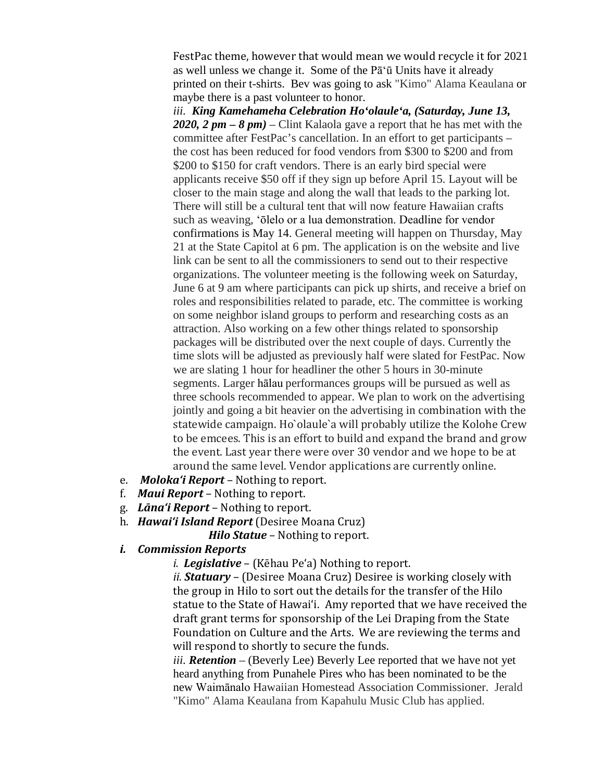FestPac theme, however that would mean we would recycle it for 2021 as well unless we change it. Some of the Pā'ū Units have it already printed on their t-shirts. Bev was going to ask "Kimo" Alama Keaulana or maybe there is a past volunteer to honor.

*iii. King Kamehameha Celebration Ho'olaule'a, (Saturday, June 13, 2020, 2 pm – 8 pm)* – Clint Kalaola gave a report that he has met with the committee after FestPac's cancellation. In an effort to get participants – the cost has been reduced for food vendors from \$300 to \$200 and from \$200 to \$150 for craft vendors. There is an early bird special were applicants receive \$50 off if they sign up before April 15. Layout will be closer to the main stage and along the wall that leads to the parking lot. There will still be a cultural tent that will now feature Hawaiian crafts such as weaving, 'ōlelo or a lua demonstration. Deadline for vendor confirmations is May 14. General meeting will happen on Thursday, May 21 at the State Capitol at 6 pm. The application is on the website and live link can be sent to all the commissioners to send out to their respective organizations. The volunteer meeting is the following week on Saturday, June 6 at 9 am where participants can pick up shirts, and receive a brief on roles and responsibilities related to parade, etc. The committee is working on some neighbor island groups to perform and researching costs as an attraction. Also working on a few other things related to sponsorship packages will be distributed over the next couple of days. Currently the time slots will be adjusted as previously half were slated for FestPac. Now we are slating 1 hour for headliner the other 5 hours in 30-minute segments. Larger hālau performances groups will be pursued as well as three schools recommended to appear. We plan to work on the advertising jointly and going a bit heavier on the advertising in combination with the statewide campaign. Ho`olaule`a will probably utilize the Kolohe Crew to be emcees. This is an effort to build and expand the brand and grow the event. Last year there were over 30 vendor and we hope to be at around the same level. Vendor applications are currently online.

- e. *Moloka'i Report* Nothing to report.
- f. *Maui Report* Nothing to report.
- g. *Lāna'i Report* Nothing to report.
- h. *Hawai'i Island Report* (Desiree Moana Cruz)
	- **Hilo Statue** Nothing to report.

# *i. Commission Reports*

*i. i. Legislative* – (Kēhau Pe'a) Nothing to report.

*ii. Statuary –* (Desiree Moana Cruz) Desiree is working closely with the group in Hilo to sort out the details for the transfer of the Hilo statue to the State of Hawai'i. Amy reported that we have received the draft grant terms for sponsorship of the Lei Draping from the State Foundation on Culture and the Arts. We are reviewing the terms and will respond to shortly to secure the funds.

*iii. Retention –* (Beverly Lee) Beverly Lee reported that we have not yet heard anything from Punahele Pires who has been nominated to be the new Waimānalo Hawaiian Homestead Association Commissioner. Jerald "Kimo" Alama Keaulana from Kapahulu Music Club has applied.